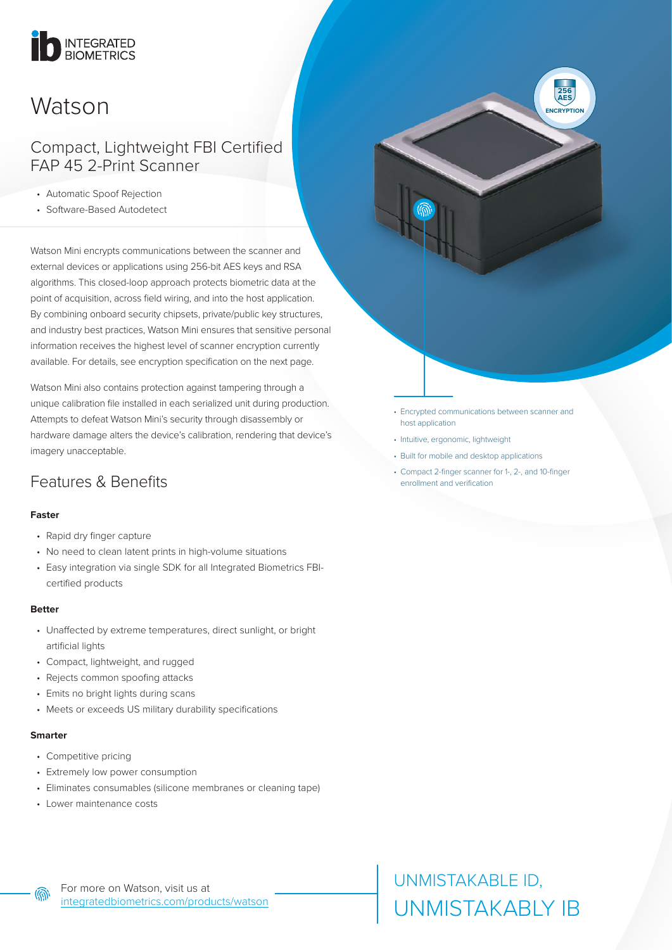# INTEGRATED

## Watson

### Compact, Lightweight FBI Certified FAP 45 2-Print Scanner

- Automatic Spoof Rejection
- Software-Based Autodetect

Watson Mini encrypts communications between the scanner and external devices or applications using 256-bit AES keys and RSA algorithms. This closed-loop approach protects biometric data at the point of acquisition, across field wiring, and into the host application. By combining onboard security chipsets, private/public key structures, and industry best practices, Watson Mini ensures that sensitive personal information receives the highest level of scanner encryption currently available. For details, see encryption specification on the next page.

Watson Mini also contains protection against tampering through a unique calibration file installed in each serialized unit during production. Attempts to defeat Watson Mini's security through disassembly or hardware damage alters the device's calibration, rendering that device's imagery unacceptable.

### Features & Benefits

### **Faster**

- Rapid dry finger capture
- No need to clean latent prints in high-volume situations
- Easy integration via single SDK for all Integrated Biometrics FBIcertified products

### **Better**

- Unaffected by extreme temperatures, direct sunlight, or bright artificial lights
- Compact, lightweight, and rugged
- Rejects common spoofing attacks
- Emits no bright lights during scans
- Meets or exceeds US military durability specifications

### **Smarter**

൫

- Competitive pricing
- Extremely low power consumption
- Eliminates consumables (silicone membranes or cleaning tape)
- Lower maintenance costs

• Encrypted communications between scanner and host application

**256 AES ENCRYPTION**

- Intuitive, ergonomic, lightweight
- Built for mobile and desktop applications
- Compact 2-finger scanner for 1-, 2-, and 10-finger enrollment and verification

UNMISTAKABLE ID, UNMISTAKABLY IB